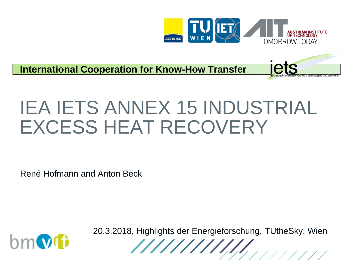

iets

**International Cooperation for Know-How Transfer**

# IEA IETS ANNEX 15 INDUSTRIAL EXCESS HEAT RECOVERY

René Hofmann and Anton Beck



20.3.2018, Highlights der Energieforschung, TUtheSky, Wien

//////////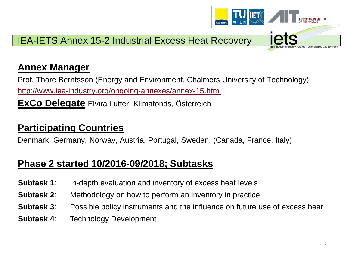

### **Annex Manager**

Prof. Thore Berntsson (Energy and Environment, Chalmers University of Technology) <http://www.iea-industry.org/ongoing-annexes/annex-15.html>

**ExCo Delegate** Elvira Lutter, Klimafonds, Österreich

# **Participating Countries**

Denmark, Germany, Norway, Austria, Portugal, Sweden, (Canada, France, Italy)

# **Phase 2 started 10/2016-09/2018; Subtasks**

- **Subtask 1:** In-depth evaluation and inventory of excess heat levels
- **Subtask 2**: Methodology on how to perform an inventory in practice
- **Subtask 3**: Possible policy instruments and the influence on future use of excess heat
- **Subtask 4**: Technology Development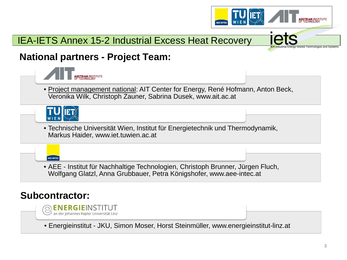## IEA-IETS Annex 15-2 Industrial Excess Heat Recovery



### **National partners - Project Team:**



AEE INTEC

#### $\odot$  energieinst  $\mathcal D$  an der Johannes Kepler Universität Linz

• Energieinstitut - JKU, Simon Moser, Horst Steinmüller, www.energieinstitut-linz.at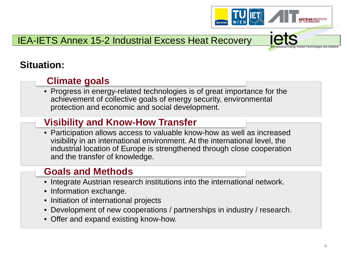

# IEA-IETS Annex 15-2 Industrial Excess Heat Recovery

# **Situation:**

### **Climate goals**

• Progress in energy-related technologies is of great importance for the achievement of collective goals of energy security, environmental protection and economic and social development.

### **Visibility and Know-How Transfer**

• Participation allows access to valuable know-how as well as increased visibility in an international environment. At the international level, the industrial location of Europe is strengthened through close cooperation and the transfer of knowledge.

## **Goals and Methods**

- Integrate Austrian research institutions into the international network.
- Information exchange.
- Initiation of international projects
- Development of new cooperations / partnerships in industry / research.
- Offer and expand existing know-how.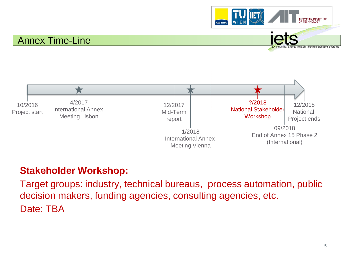

#### Annex Time-Line



### **Stakeholder Workshop:**

Target groups: industry, technical bureaus, process automation, public decision makers, funding agencies, consulting agencies, etc. Date: TBA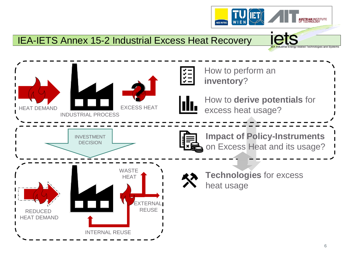### IEA-IETS Annex 15-2 Industrial Excess Heat Recovery



AEE INTEC

**ETRIAN INSTITUTE** 

related Technologies and Systems

iets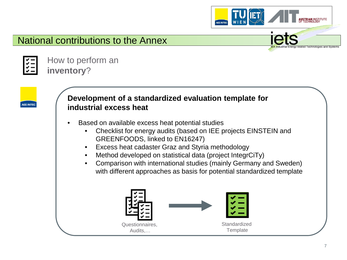





**AEE INTEC** 

How to perform an **inventory**?

#### **Development of a standardized evaluation template for industrial excess heat**

- Based on available excess heat potential studies
	- Checklist for energy audits (based on IEE projects EINSTEIN and GREENFOODS, linked to EN16247)
	- Excess heat cadaster Graz and Styria methodology
	- Method developed on statistical data (project IntegrCiTy)
	- Comparison with international studies (mainly Germany and Sweden) with different approaches as basis for potential standardized template

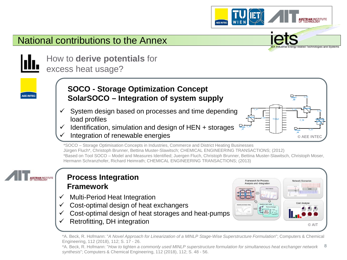

\*SOCO – Storage Optimisation Concepts in Industries, Commerce and District Heating Businesses Jürgen Fluch\*, Christoph Brunner, Bettina Muster-Slawitsch; CHEMICAL ENGINEERING TRANSACTIONS; (2012) \*Based on Tool SOCO – Model and Measures Identified; Juergen Fluch, Christoph Brunner, Bettina Muster-Slawitsch, Christoph Moser, Hermann Schranzhofer, Richard Heimrath; CHEMICAL ENGINEERING TRANSACTIONS; (2013)



**AEE INTEC** 

#### **Process Integration Framework**

- $\checkmark$  Multi-Period Heat Integration
- Cost-optimal design of heat exchangers
- Cost-optimal design of heat storages and heat-pumps
- Retrofitting, DH integration



<sup>\*</sup>A. Beck, R. Hofmann: "*A Novel Approach for Linearization of a MINLP Stage-Wise Superstructure Formulation*"; Computers & Chemical Engineering, 112 (2018), 112; S. 17 - 26.

<sup>8</sup> \*A. Beck, R. Hofmann: "*How to* tighten *a commonly used MINLP superstructure formulation for simultaneous heat exchanger network synthesis*"; Computers & Chemical Engineering, 112 (2018), 112; S. 48 - 56.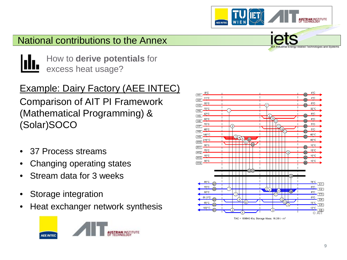How to **derive potentials** for excess heat usage?

# Example: Dairy Factory (AEE INTEC)

Comparison of AIT PI Framework (Mathematical Programming) & (Solar)SOCO

- 37 Process streams
- Changing operating states
- Stream data for 3 weeks
- Storage integration
- Heat exchanger network synthesis





AEE INTEC

TAC = 189643 €/a; Storage Mass: 16.39 t - m<sup>3</sup>

**RIAN INSTITUTE** 

elated Technologies and System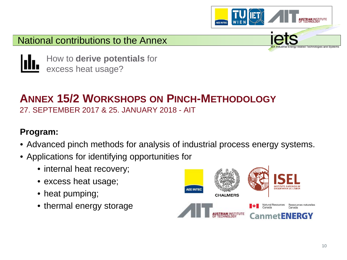



How to **derive potentials** for excess heat usage?

# **ANNEX 15/2 WORKSHOPS ON PINCH-METHODOLOGY** 27. SEPTEMBER 2017 & 25. JANUARY 2018 - AIT

### **Program:**

- Advanced pinch methods for analysis of industrial process energy systems.
- Applications for identifying opportunities for
	- internal heat recovery;
	- excess heat usage;
	- heat pumping;
	- thermal energy storage

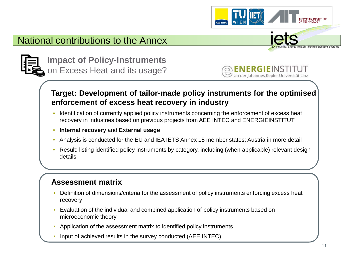



**Impact of Policy-Instruments**  on Excess Heat and its usage?



#### **Target: Development of tailor-made policy instruments for the optimised enforcement of excess heat recovery in industry**

- Identification of currently applied policy instruments concerning the enforcement of excess heat recovery in industries based on previous projects from AEE INTEC and ENERGIEINSTITUT
- **Internal recovery** and **External usage**
- Analysis is conducted for the EU and IEA IETS Annex 15 member states; Austria in more detail
- Result: listing identified policy instruments by category, including (when applicable) relevant design details

#### **Assessment matrix**

- Definition of dimensions/criteria for the assessment of policy instruments enforcing excess heat recovery
- Evaluation of the individual and combined application of policy instruments based on microeconomic theory
- Application of the assessment matrix to identified policy instruments
- Input of achieved results in the survey conducted (AEE INTEC)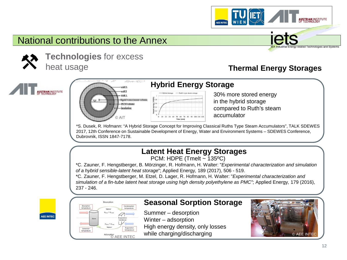

**Technologies** for excess heat usage

#### **Thermal Energy Storages**





#### **Hybrid Energy Storage**

AEE INTEC



30% more stored energy in the hybrid storage compared to Ruth's steam accumulator

\*S. Dusek, R. Hofmann: "A Hybrid Storage Concept for Improving Classical Ruths Type Steam Accumulators", TALK SDEWES 2017, 12th Conference on Sustainable Development of Energy, Water and Environment Systems – SDEWES Conference, Dubrovnik, ISSN 1847-7178.

#### **Latent Heat Energy Storages**

PCM: HDPE (Tmelt ~ 135ºC)

\*C. Zauner, F. Hengstberger, B. Mörzinger, R. Hofmann, H. Walter: "*Experimental characterization and simulation of a hybrid sensible-latent heat storage*"; Applied Energy, 189 (2017), 506 - 519.

\*C. Zauner, F. Hengstberger, M. Etzel, D. Lager, R. Hofmann, H. Walter: "*Experimental characterization and simulation of a fin-tube latent heat storage using high density polyethylene as PMC"*; Applied Energy, 179 (2016), 237 - 246.



| <b>Desorption</b><br>temperature | Condensation<br>temperature<br>Vapour<br>$p_{\text{there}} > p_{\text{cond}}$ |  |
|----------------------------------|-------------------------------------------------------------------------------|--|
| Store                            | Evaporator/<br>Condenser<br>$p_{\text{Stor}} < p_{\text{Fmap}}$<br>Vapour     |  |
| Extraction<br>temperature        | Evaporation<br>temperature                                                    |  |

#### **Seasonal Sorption Storage**

Summer – desorption Winter – adsorption High energy density, only losses

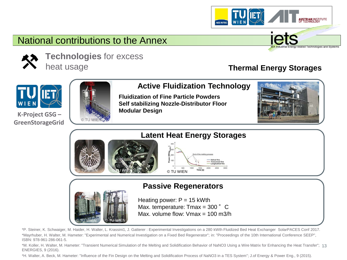

**Technologies** for excess

heat usage

#### **Thermal Energy Storages**



**K-Project GSG – GreenStorageGrid**



**Active Fluidization Technology** 

AEE INTEC

**Fluidization of Fine Particle Powders Self stabilizing Nozzle-Distributor Floor Modular Design** 



elated Technologies and Systems



#### **Passive Regenerators**



Heating power:  $P = 15$  kWth Max. temperature:  $T$ max = 300 $\degree$  C Max. volume flow: Vmax = 100 m3/h

\*P. Steiner, K. Schwaiger, M. Haider, H. Walter, L. Krassini1, J. Gatterer : Experimental Investigations on a 280 kWth Fluidized Bed Heat Exchanger SolarPACES Conf 2017. \*Mayrhuber, H. Walter, M. Hameter: "Experimental and Numerical Investigation on a Fixed Bed Regenerator"; in: "Proceedings of the 10th International Conference SEEP", ISBN: 978-961-286-061-5.

13 \*M. Koller, H. Walter, M. Hameter: "Transient Numerical Simulation of the Melting and Solidification Behavior of NaNO3 Using a Wire Matrix for Enhancing the Heat Transfer"; ENERGIES, 9 (2016).

\*H. Walter, A. Beck, M. Hameter: "Influence of the Fin Design on the Melting and Solidification Process of NaNO3 in a TES System"; J.of Energy & Power Eng., 9 (2015).